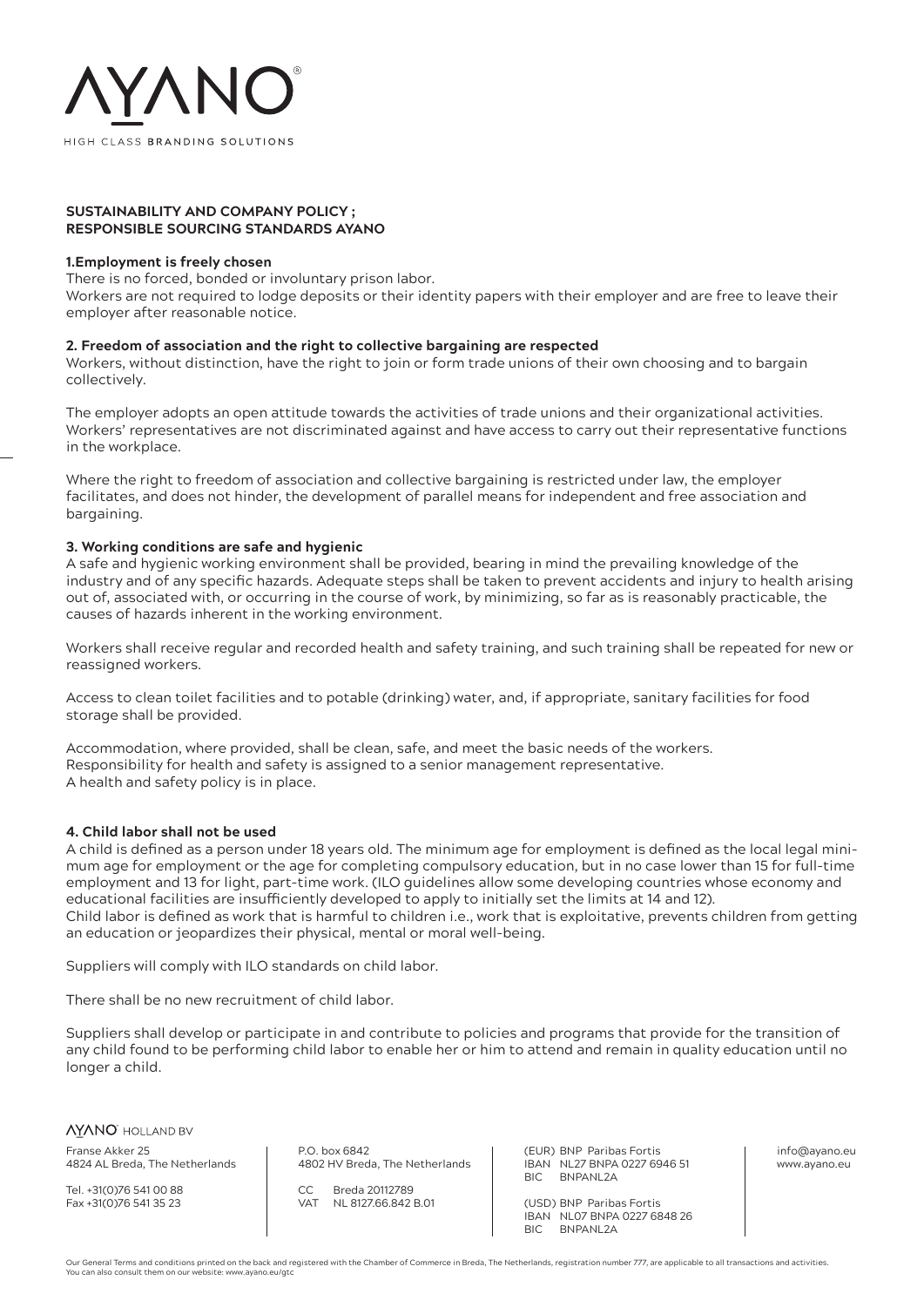

### **SUSTAINABILITY AND COMPANY POLICY ; RESPONSIBLE SOURCING STANDARDS AYANO**

### **1.Employment is freely chosen**

There is no forced, bonded or involuntary prison labor.

Workers are not required to lodge deposits or their identity papers with their employer and are free to leave their employer after reasonable notice.

### **2. Freedom of association and the right to collective bargaining are respected**

Workers, without distinction, have the right to join or form trade unions of their own choosing and to bargain collectively.

The employer adopts an open attitude towards the activities of trade unions and their organizational activities. Workers' representatives are not discriminated against and have access to carry out their representative functions in the workplace.

Where the right to freedom of association and collective bargaining is restricted under law, the employer facilitates, and does not hinder, the development of parallel means for independent and free association and bargaining.

### **3. Working conditions are safe and hygienic**

A safe and hygienic working environment shall be provided, bearing in mind the prevailing knowledge of the industry and of any specific hazards. Adequate steps shall be taken to prevent accidents and injury to health arising out of, associated with, or occurring in the course of work, by minimizing, so far as is reasonably practicable, the causes of hazards inherent in the working environment.

Workers shall receive regular and recorded health and safety training, and such training shall be repeated for new or reassigned workers.

Access to clean toilet facilities and to potable (drinking) water, and, if appropriate, sanitary facilities for food storage shall be provided.

Accommodation, where provided, shall be clean, safe, and meet the basic needs of the workers. Responsibility for health and safety is assigned to a senior management representative. A health and safety policy is in place.

### **4. Child labor shall not be used**

A child is defined as a person under 18 years old. The minimum age for employment is defined as the local legal minimum age for employment or the age for completing compulsory education, but in no case lower than 15 for full-time employment and 13 for light, part-time work. (ILO guidelines allow some developing countries whose economy and educational facilities are insufficiently developed to apply to initially set the limits at 14 and 12). Child labor is defined as work that is harmful to children i.e., work that is exploitative, prevents children from getting an education or jeopardizes their physical, mental or moral well-being.

Suppliers will comply with ILO standards on child labor.

There shall be no new recruitment of child labor.

Suppliers shall develop or participate in and contribute to policies and programs that provide for the transition of any child found to be performing child labor to enable her or him to attend and remain in quality education until no longer a child.

*NYANO* HOLLAND BV Franse Akker 25 4824 AL Breda, The Netherlands

Tel. +31(0)76 541 00 88 Fax +31(0)76 541 35 23

P.O. box 6842 4802 HV Breda, The Netherlands

CC Breda 20112789<br>VAT NI 812766 842 NL 8127.66.842 B.01 (EUR) BNP Paribas Fortis IBAN NL27 BNPA 0227 6946 51 BIC BNPANL2A

(USD) BNP Paribas Fortis **IBAN NL07 BNPA 0227 6848 26**<br>BIC BNPANI 2A BNPANL<sub>24</sub>

info@ayano.eu www.ayano.eu

Our General Terms and conditions printed on the back and registered with the Chamber of Commerce in Breda, The Netherlands, registration number 777, are applicable to all transactions and activities. You can also consult them on our website: www.ayano.eu/gtc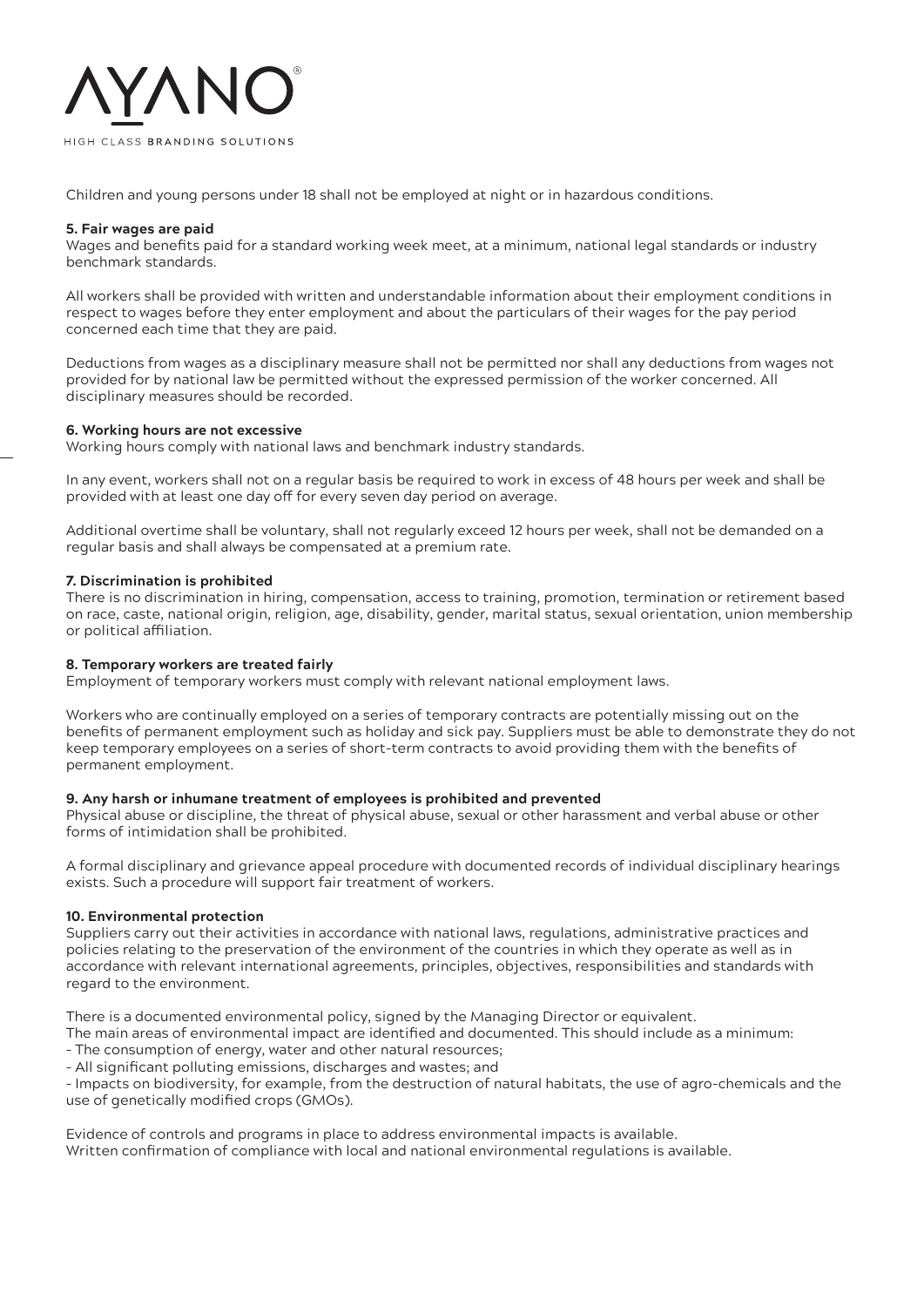

Children and young persons under 18 shall not be employed at night or in hazardous conditions.

## **5. Fair wages are paid**

Wages and benefits paid for a standard working week meet, at a minimum, national legal standards or industry benchmark standards.

All workers shall be provided with written and understandable information about their employment conditions in respect to wages before they enter employment and about the particulars of their wages for the pay period concerned each time that they are paid.

Deductions from wages as a disciplinary measure shall not be permitted nor shall any deductions from wages not provided for by national law be permitted without the expressed permission of the worker concerned. All disciplinary measures should be recorded.

## **6. Working hours are not excessive**

Working hours comply with national laws and benchmark industry standards.

In any event, workers shall not on a regular basis be required to work in excess of 48 hours per week and shall be provided with at least one day off for every seven day period on average.

Additional overtime shall be voluntary, shall not regularly exceed 12 hours per week, shall not be demanded on a regular basis and shall always be compensated at a premium rate.

## **7. Discrimination is prohibited**

There is no discrimination in hiring, compensation, access to training, promotion, termination or retirement based on race, caste, national origin, religion, age, disability, gender, marital status, sexual orientation, union membership or political affiliation.

### **8. Temporary workers are treated fairly**

Employment of temporary workers must comply with relevant national employment laws.

Workers who are continually employed on a series of temporary contracts are potentially missing out on the benefits of permanent employment such as holiday and sick pay. Suppliers must be able to demonstrate they do not keep temporary employees on a series of short-term contracts to avoid providing them with the benefits of permanent employment.

# **9. Any harsh or inhumane treatment of employees is prohibited and prevented**

Physical abuse or discipline, the threat of physical abuse, sexual or other harassment and verbal abuse or other forms of intimidation shall be prohibited.

A formal disciplinary and grievance appeal procedure with documented records of individual disciplinary hearings exists. Such a procedure will support fair treatment of workers.

# **10. Environmental protection**

Suppliers carry out their activities in accordance with national laws, regulations, administrative practices and policies relating to the preservation of the environment of the countries in which they operate as well as in accordance with relevant international agreements, principles, objectives, responsibilities and standards with regard to the environment.

There is a documented environmental policy, signed by the Managing Director or equivalent.

The main areas of environmental impact are identified and documented. This should include as a minimum:

- The consumption of energy, water and other natural resources;
- All significant polluting emissions, discharges and wastes; and

– Impacts on biodiversity, for example, from the destruction of natural habitats, the use of agro-chemicals and the use of genetically modified crops (GMOs).

Evidence of controls and programs in place to address environmental impacts is available. Written confirmation of compliance with local and national environmental regulations is available.